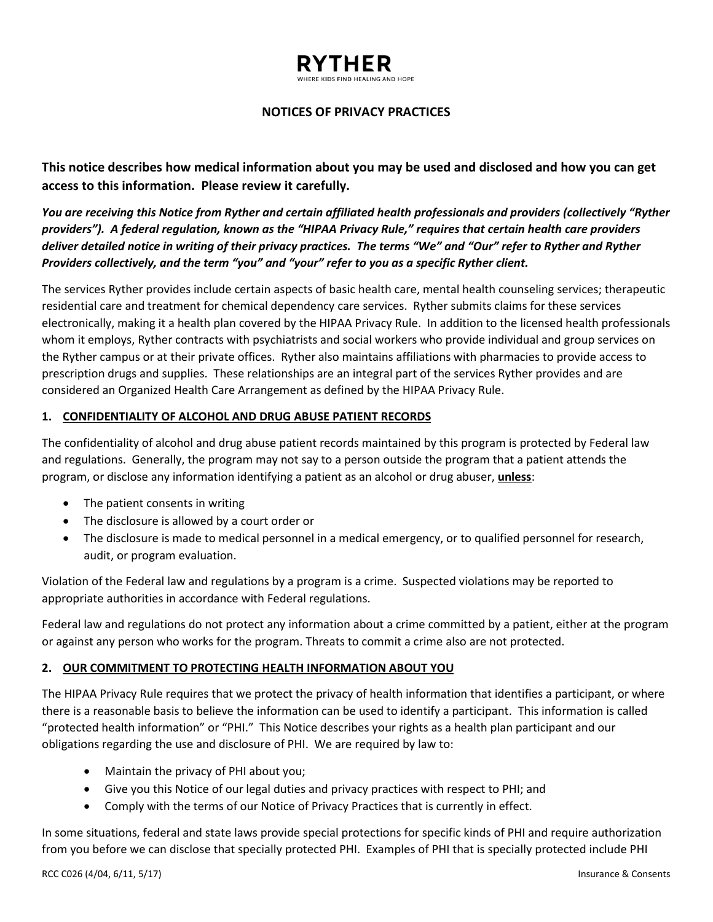# **NOTICES OF PRIVACY PRACTICES**

**This notice describes how medical information about you may be used and disclosed and how you can get access to this information. Please review it carefully.**

*You are receiving this Notice from Ryther and certain affiliated health professionals and providers (collectively "Ryther providers"). A federal regulation, known as the "HIPAA Privacy Rule," requires that certain health care providers deliver detailed notice in writing of their privacy practices. The terms "We" and "Our" refer to Ryther and Ryther Providers collectively, and the term "you" and "your" refer to you as a specific Ryther client.*

The services Ryther provides include certain aspects of basic health care, mental health counseling services; therapeutic residential care and treatment for chemical dependency care services. Ryther submits claims for these services electronically, making it a health plan covered by the HIPAA Privacy Rule. In addition to the licensed health professionals whom it employs, Ryther contracts with psychiatrists and social workers who provide individual and group services on the Ryther campus or at their private offices. Ryther also maintains affiliations with pharmacies to provide access to prescription drugs and supplies. These relationships are an integral part of the services Ryther provides and are considered an Organized Health Care Arrangement as defined by the HIPAA Privacy Rule.

## **1. CONFIDENTIALITY OF ALCOHOL AND DRUG ABUSE PATIENT RECORDS**

The confidentiality of alcohol and drug abuse patient records maintained by this program is protected by Federal law and regulations. Generally, the program may not say to a person outside the program that a patient attends the program, or disclose any information identifying a patient as an alcohol or drug abuser, **unless**:

- The patient consents in writing
- The disclosure is allowed by a court order or
- The disclosure is made to medical personnel in a medical emergency, or to qualified personnel for research, audit, or program evaluation.

Violation of the Federal law and regulations by a program is a crime. Suspected violations may be reported to appropriate authorities in accordance with Federal regulations.

Federal law and regulations do not protect any information about a crime committed by a patient, either at the program or against any person who works for the program. Threats to commit a crime also are not protected.

## **2. OUR COMMITMENT TO PROTECTING HEALTH INFORMATION ABOUT YOU**

The HIPAA Privacy Rule requires that we protect the privacy of health information that identifies a participant, or where there is a reasonable basis to believe the information can be used to identify a participant. This information is called "protected health information" or "PHI." This Notice describes your rights as a health plan participant and our obligations regarding the use and disclosure of PHI. We are required by law to:

- Maintain the privacy of PHI about you;
- Give you this Notice of our legal duties and privacy practices with respect to PHI; and
- Comply with the terms of our Notice of Privacy Practices that is currently in effect.

In some situations, federal and state laws provide special protections for specific kinds of PHI and require authorization from you before we can disclose that specially protected PHI. Examples of PHI that is specially protected include PHI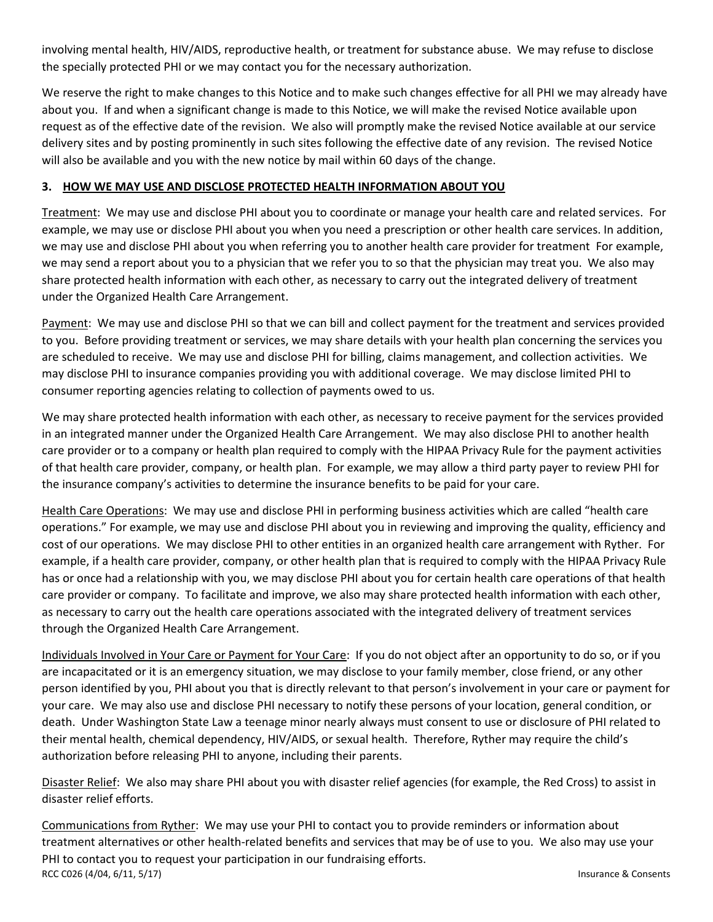involving mental health, HIV/AIDS, reproductive health, or treatment for substance abuse. We may refuse to disclose the specially protected PHI or we may contact you for the necessary authorization.

We reserve the right to make changes to this Notice and to make such changes effective for all PHI we may already have about you. If and when a significant change is made to this Notice, we will make the revised Notice available upon request as of the effective date of the revision. We also will promptly make the revised Notice available at our service delivery sites and by posting prominently in such sites following the effective date of any revision. The revised Notice will also be available and you with the new notice by mail within 60 days of the change.

# **3. HOW WE MAY USE AND DISCLOSE PROTECTED HEALTH INFORMATION ABOUT YOU**

Treatment: We may use and disclose PHI about you to coordinate or manage your health care and related services. For example, we may use or disclose PHI about you when you need a prescription or other health care services. In addition, we may use and disclose PHI about you when referring you to another health care provider for treatment For example, we may send a report about you to a physician that we refer you to so that the physician may treat you. We also may share protected health information with each other, as necessary to carry out the integrated delivery of treatment under the Organized Health Care Arrangement.

Payment: We may use and disclose PHI so that we can bill and collect payment for the treatment and services provided to you. Before providing treatment or services, we may share details with your health plan concerning the services you are scheduled to receive. We may use and disclose PHI for billing, claims management, and collection activities. We may disclose PHI to insurance companies providing you with additional coverage. We may disclose limited PHI to consumer reporting agencies relating to collection of payments owed to us.

We may share protected health information with each other, as necessary to receive payment for the services provided in an integrated manner under the Organized Health Care Arrangement. We may also disclose PHI to another health care provider or to a company or health plan required to comply with the HIPAA Privacy Rule for the payment activities of that health care provider, company, or health plan. For example, we may allow a third party payer to review PHI for the insurance company's activities to determine the insurance benefits to be paid for your care.

Health Care Operations: We may use and disclose PHI in performing business activities which are called "health care operations." For example, we may use and disclose PHI about you in reviewing and improving the quality, efficiency and cost of our operations. We may disclose PHI to other entities in an organized health care arrangement with Ryther. For example, if a health care provider, company, or other health plan that is required to comply with the HIPAA Privacy Rule has or once had a relationship with you, we may disclose PHI about you for certain health care operations of that health care provider or company. To facilitate and improve, we also may share protected health information with each other, as necessary to carry out the health care operations associated with the integrated delivery of treatment services through the Organized Health Care Arrangement.

Individuals Involved in Your Care or Payment for Your Care: If you do not object after an opportunity to do so, or if you are incapacitated or it is an emergency situation, we may disclose to your family member, close friend, or any other person identified by you, PHI about you that is directly relevant to that person's involvement in your care or payment for your care. We may also use and disclose PHI necessary to notify these persons of your location, general condition, or death. Under Washington State Law a teenage minor nearly always must consent to use or disclosure of PHI related to their mental health, chemical dependency, HIV/AIDS, or sexual health. Therefore, Ryther may require the child's authorization before releasing PHI to anyone, including their parents.

Disaster Relief: We also may share PHI about you with disaster relief agencies (for example, the Red Cross) to assist in disaster relief efforts.

RCC C026 (4/04, 6/11, 5/17) Insurance & Consents Communications from Ryther: We may use your PHI to contact you to provide reminders or information about treatment alternatives or other health-related benefits and services that may be of use to you. We also may use your PHI to contact you to request your participation in our fundraising efforts.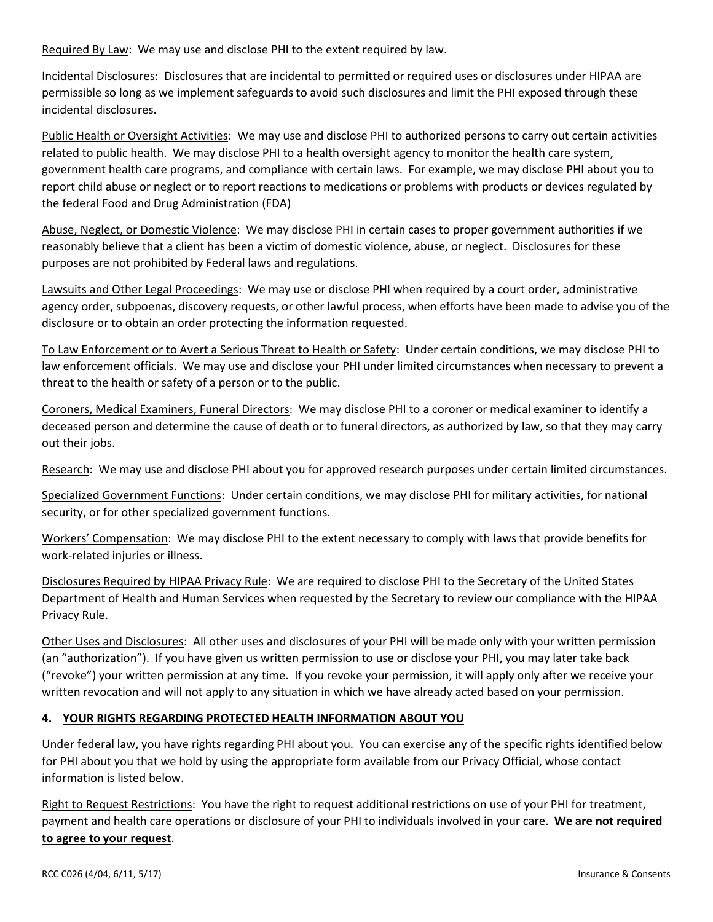Required By Law: We may use and disclose PHI to the extent required by law.

Incidental Disclosures: Disclosures that are incidental to permitted or required uses or disclosures under HIPAA are permissible so long as we implement safeguards to avoid such disclosures and limit the PHI exposed through these incidental disclosures.

Public Health or Oversight Activities: We may use and disclose PHI to authorized persons to carry out certain activities related to public health. We may disclose PHI to a health oversight agency to monitor the health care system, government health care programs, and compliance with certain laws. For example, we may disclose PHI about you to report child abuse or neglect or to report reactions to medications or problems with products or devices regulated by the federal Food and Drug Administration (FDA)

Abuse, Neglect, or Domestic Violence: We may disclose PHI in certain cases to proper government authorities if we reasonably believe that a client has been a victim of domestic violence, abuse, or neglect. Disclosures for these purposes are not prohibited by Federal laws and regulations.

Lawsuits and Other Legal Proceedings:We may use or disclose PHI when required by a court order, administrative agency order, subpoenas, discovery requests, or other lawful process, when efforts have been made to advise you of the disclosure or to obtain an order protecting the information requested.

To Law Enforcement or to Avert a Serious Threat to Health or Safety: Under certain conditions, we may disclose PHI to law enforcement officials. We may use and disclose your PHI under limited circumstances when necessary to prevent a threat to the health or safety of a person or to the public.

Coroners, Medical Examiners, Funeral Directors: We may disclose PHI to a coroner or medical examiner to identify a deceased person and determine the cause of death or to funeral directors, as authorized by law, so that they may carry out their jobs.

Research:We may use and disclose PHI about you for approved research purposes under certain limited circumstances.

Specialized Government Functions: Under certain conditions, we may disclose PHI for military activities, for national security, or for other specialized government functions.

Workers' Compensation: We may disclose PHI to the extent necessary to comply with laws that provide benefits for work-related injuries or illness.

Disclosures Required by HIPAA Privacy Rule:We are required to disclose PHI to the Secretary of the United States Department of Health and Human Services when requested by the Secretary to review our compliance with the HIPAA Privacy Rule.

Other Uses and Disclosures: All other uses and disclosures of your PHI will be made only with your written permission (an "authorization"). If you have given us written permission to use or disclose your PHI, you may later take back ("revoke") your written permission at any time. If you revoke your permission, it will apply only after we receive your written revocation and will not apply to any situation in which we have already acted based on your permission.

## **4. YOUR RIGHTS REGARDING PROTECTED HEALTH INFORMATION ABOUT YOU**

Under federal law, you have rights regarding PHI about you. You can exercise any of the specific rights identified below for PHI about you that we hold by using the appropriate form available from our Privacy Official, whose contact information is listed below.

Right to Request Restrictions: You have the right to request additional restrictions on use of your PHI for treatment, payment and health care operations or disclosure of your PHI to individuals involved in your care. **We are not required to agree to your request**.